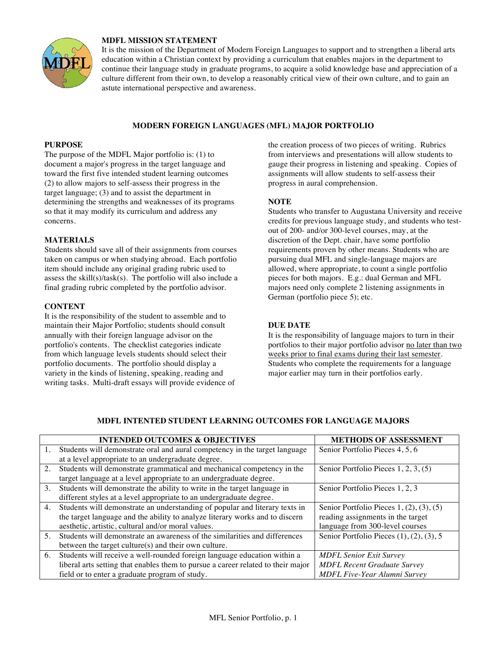

# **MDFL MISSION STATEMENT**

It is the mission of the Department of Modern Foreign Languages to support and to strengthen a liberal arts education within a Christian context by providing a curriculum that enables majors in the department to continue their language study in graduate programs, to acquire a solid knowledge base and appreciation of a culture different from their own, to develop a reasonably critical view of their own culture, and to gain an astute international perspective and awareness.

# **MODERN FOREIGN LANGUAGES (MFL) MAJOR PORTFOLIO**

## **PURPOSE**

The purpose of the MDFL Major portfolio is: (1) to document a major's progress in the target language and toward the first five intended student learning outcomes (2) to allow majors to self-assess their progress in the target language; (3) and to assist the department in determining the strengths and weaknesses of its programs so that it may modify its curriculum and address any concerns.

## **MATERIALS**

Students should save all of their assignments from courses taken on campus or when studying abroad. Each portfolio item should include any original grading rubric used to assess the skill(s)/task(s). The portfolio will also include a final grading rubric completed by the portfolio advisor.

## **CONTENT**

It is the responsibility of the student to assemble and to maintain their Major Portfolio; students should consult annually with their foreign language advisor on the portfolio's contents. The checklist categories indicate from which language levels students should select their portfolio documents. The portfolio should display a variety in the kinds of listening, speaking, reading and writing tasks. Multi-draft essays will provide evidence of the creation process of two pieces of writing. Rubrics from interviews and presentations will allow students to gauge their progress in listening and speaking. Copies of assignments will allow students to self-assess their progress in aural comprehension.

## **NOTE**

Students who transfer to Augustana University and receive credits for previous language study, and students who testout of 200- and/or 300-level courses, may, at the discretion of the Dept. chair, have some portfolio requirements proven by other means. Students who are pursuing dual MFL and single-language majors are allowed, where appropriate, to count a single portfolio pieces for both majors. E.g.: dual German and MFL majors need only complete 2 listening assignments in German (portfolio piece 5); etc.

## **DUE DATE**

It is the responsibility of language majors to turn in their portfolios to their major portfolio advisor no later than two weeks prior to final exams during their last semester. Students who complete the requirements for a language major earlier may turn in their portfolios early.

|    | <b>INTENDED OUTCOMES &amp; OBJECTIVES</b>                                        | <b>METHODS OF ASSESSMENT</b>                      |
|----|----------------------------------------------------------------------------------|---------------------------------------------------|
| 1. | Students will demonstrate oral and aural competency in the target language       | Senior Portfolio Pieces 4, 5, 6                   |
|    | at a level appropriate to an undergraduate degree.                               |                                                   |
| 2. | Students will demonstrate grammatical and mechanical competency in the           | Senior Portfolio Pieces 1, 2, 3, (5)              |
|    | target language at a level appropriate to an undergraduate degree.               |                                                   |
| 3. | Students will demonstrate the ability to write in the target language in         | Senior Portfolio Pieces 1, 2, 3                   |
|    | different styles at a level appropriate to an undergraduate degree.              |                                                   |
| 4. | Students will demonstrate an understanding of popular and literary texts in      | Senior Portfolio Pieces $1, (2), (3), (5)$        |
|    | the target language and the ability to analyze literary works and to discern     | reading assignments in the target                 |
|    | aesthetic, artistic, cultural and/or moral values.                               | language from 300-level courses                   |
|    | 5. Students will demonstrate an awareness of the similarities and differences    | Senior Portfolio Pieces $(1)$ , $(2)$ , $(3)$ , 5 |
|    | between the target culture(s) and their own culture.                             |                                                   |
| 6. | Students will receive a well-rounded foreign language education within a         | <b>MDFL Senior Exit Survey</b>                    |
|    | liberal arts setting that enables them to pursue a career related to their major | <b>MDFL Recent Graduate Survey</b>                |
|    | field or to enter a graduate program of study.                                   | <b>MDFL Five-Year Alumni Survey</b>               |

## **MDFL INTENTED STUDENT LEARNING OUTCOMES FOR LANGUAGE MAJORS**